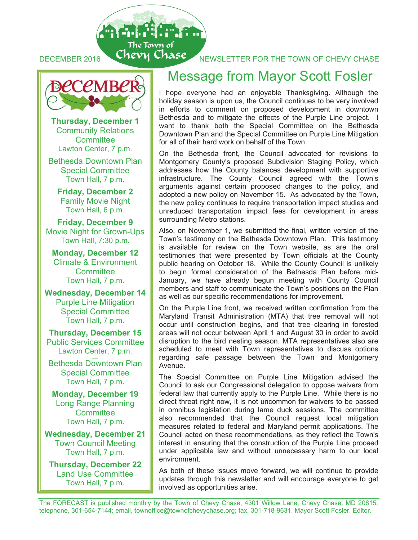The Town of<br>DECEMBER 2016 CHEVY CHASE NEWSLETTER FOR THE TOWN OF CHEVY CHASE



An an fill fill fill

**Thursday, December 1**  Community Relations **Committee** Lawton Center, 7 p.m.

Bethesda Downtown Plan Special Committee Town Hall, 7 p.m.

**Friday, December 2**  Family Movie Night Town Hall, 6 p.m.

**Friday, December 9**  Movie Night for Grown-Ups Town Hall, 7:30 p.m.

**Monday, December 12**  Climate & Environment **Committee** Town Hall, 7 p.m.

**Wednesday, December 14**  Purple Line Mitigation Special Committee Town Hall, 7 p.m.

**Thursday, December 15** Public Services Committee Lawton Center, 7 p.m.

Bethesda Downtown Plan Special Committee Town Hall, 7 p.m.

**Monday, December 19**  Long Range Planning **Committee** Town Hall, 7 p.m.

**Wednesday, December 21**  Town Council Meeting Town Hall, 7 p.m.

**Thursday, December 22**  Land Use Committee Town Hall, 7 p.m.

## Message from Mayor Scott Fosler

I hope everyone had an enjoyable Thanksgiving. Although the holiday season is upon us, the Council continues to be very involved in efforts to comment on proposed development in downtown Bethesda and to mitigate the effects of the Purple Line project. I want to thank both the Special Committee on the Bethesda Downtown Plan and the Special Committee on Purple Line Mitigation for all of their hard work on behalf of the Town.

On the Bethesda front, the Council advocated for revisions to Montgomery County's proposed Subdivision Staging Policy, which addresses how the County balances development with supportive infrastructure. The County Council agreed with the Town's arguments against certain proposed changes to the policy, and adopted a new policy on November 15. As advocated by the Town, the new policy continues to require transportation impact studies and unreduced transportation impact fees for development in areas surrounding Metro stations.

Also, on November 1, we submitted the final, written version of the Town's testimony on the Bethesda Downtown Plan. This testimony is available for review on the Town website, as are the oral testimonies that were presented by Town officials at the County public hearing on October 18. While the County Council is unlikely to begin formal consideration of the Bethesda Plan before mid-January, we have already begun meeting with County Council members and staff to communicate the Town's positions on the Plan as well as our specific recommendations for improvement.

On the Purple Line front, we received written confirmation from the Maryland Transit Administration (MTA) that tree removal will not occur until construction begins, and that tree clearing in forested areas will not occur between April 1 and August 30 in order to avoid disruption to the bird nesting season. MTA representatives also are scheduled to meet with Town representatives to discuss options regarding safe passage between the Town and Montgomery Avenue.

The Special Committee on Purple Line Mitigation advised the Council to ask our Congressional delegation to oppose waivers from federal law that currently apply to the Purple Line. While there is no direct threat right now, it is not uncommon for waivers to be passed in omnibus legislation during lame duck sessions. The committee also recommended that the Council request local mitigation measures related to federal and Maryland permit applications. The Council acted on these recommendations, as they reflect the Town's interest in ensuring that the construction of the Purple Line proceed under applicable law and without unnecessary harm to our local environment.

As both of these issues move forward, we will continue to provide updates through this newsletter and will encourage everyone to get involved as opportunities arise.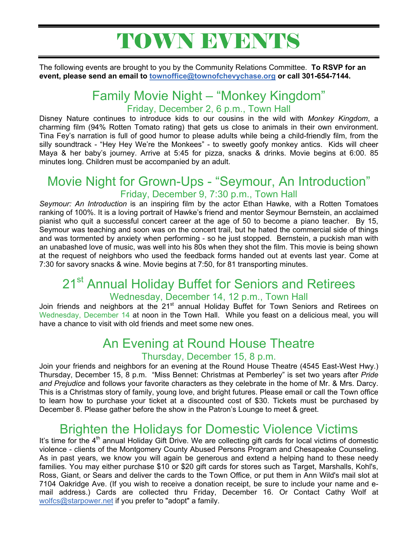# TOWN EVENTS

The following events are brought to you by the Community Relations Committee. **To RSVP for an event, please send an email to townoffice@townofchevychase.org or call 301-654-7144.** 

### Family Movie Night – "Monkey Kingdom" Friday, December 2, 6 p.m., Town Hall

Disney Nature continues to introduce kids to our cousins in the wild with *Monkey Kingdom*, a charming film (94% Rotten Tomato rating) that gets us close to animals in their own environment. Tina Fey's narration is full of good humor to please adults while being a child-friendly film, from the silly soundtrack - "Hey Hey We're the Monkees" - to sweetly goofy monkey antics. Kids will cheer Maya & her baby's journey. Arrive at 5:45 for pizza, snacks & drinks. Movie begins at 6:00. 85 minutes long. Children must be accompanied by an adult.

### Movie Night for Grown-Ups - "Seymour, An Introduction" Friday, December 9, 7:30 p.m., Town Hall

*Seymour: An Introduction* is an inspiring film by the actor Ethan Hawke, with a Rotten Tomatoes ranking of 100%. It is a loving portrait of Hawke's friend and mentor Seymour Bernstein, an acclaimed pianist who quit a successful concert career at the age of 50 to become a piano teacher. By 15, Seymour was teaching and soon was on the concert trail, but he hated the commercial side of things and was tormented by anxiety when performing - so he just stopped. Bernstein, a puckish man with an unabashed love of music, was well into his 80s when they shot the film. This movie is being shown at the request of neighbors who used the feedback forms handed out at events last year. Come at 7:30 for savory snacks & wine. Movie begins at 7:50, for 81 transporting minutes.

## 21<sup>st</sup> Annual Holiday Buffet for Seniors and Retirees Wednesday, December 14, 12 p.m., Town Hall

Join friends and neighbors at the 21<sup>st</sup> annual Holiday Buffet for Town Seniors and Retirees on Wednesday, December 14 at noon in the Town Hall. While you feast on a delicious meal, you will have a chance to visit with old friends and meet some new ones.

### An Evening at Round House Theatre Thursday, December 15, 8 p.m.

Join your friends and neighbors for an evening at the Round House Theatre (4545 East-West Hwy.) Thursday, December 15, 8 p.m. "Miss Bennet: Christmas at Pemberley" is set two years after *Pride and Prejudice* and follows your favorite characters as they celebrate in the home of Mr. & Mrs. Darcy. This is a Christmas story of family, young love, and bright futures. Please email or call the Town office to learn how to purchase your ticket at a discounted cost of \$30. Tickets must be purchased by December 8. Please gather before the show in the Patron's Lounge to meet & greet.

## Brighten the Holidays for Domestic Violence Victims

It's time for the 4<sup>th</sup> annual Holiday Gift Drive. We are collecting gift cards for local victims of domestic violence - clients of the Montgomery County Abused Persons Program and Chesapeake Counseling. As in past years, we know you will again be generous and extend a helping hand to these needy families. You may either purchase \$10 or \$20 gift cards for stores such as Target, Marshalls, Kohl's, Ross, Giant, or Sears and deliver the cards to the Town Office, or put them in Ann Wild's mail slot at 7104 Oakridge Ave. (If you wish to receive a donation receipt, be sure to include your name and email address.) Cards are collected thru Friday, December 16. Or Contact Cathy Wolf at wolfcs@starpower.net if you prefer to "adopt" a family.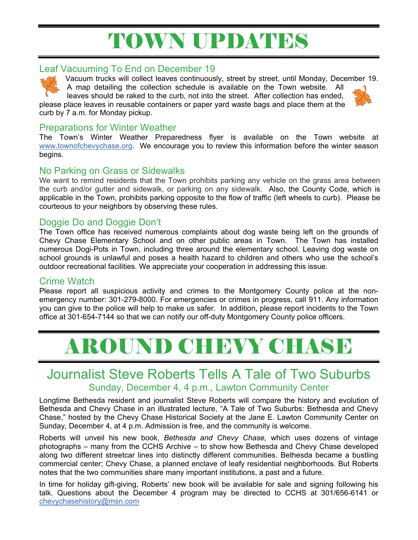# TOWN UPDATES

#### Leaf Vacuuming To End on December 19

Vacuum trucks will collect leaves continuously, street by street, until Monday, December 19. A map detailing the collection schedule is available on the Town website. All

leaves should be raked to the curb, not into the street. After collection has ended, please place leaves in reusable containers or paper yard waste bags and place them at the curb by 7 a.m. for Monday pickup.

#### Preparations for Winter Weather

The Town's Winter Weather Preparedness flyer is available on the Town website at www.townofchevychase.org. We encourage you to review this information before the winter season begins.

#### No Parking on Grass or Sidewalks

We want to remind residents that the Town prohibits parking any vehicle on the grass area between the curb and/or gutter and sidewalk, or parking on any sidewalk. Also, the County Code, which is applicable in the Town, prohibits parking opposite to the flow of traffic (left wheels to curb). Please be courteous to your neighbors by observing these rules.

#### Doggie Do and Doggie Don't

The Town office has received numerous complaints about dog waste being left on the grounds of Chevy Chase Elementary School and on other public areas in Town. The Town has installed numerous Dogi-Pots in Town, including three around the elementary school. Leaving dog waste on school grounds is unlawful and poses a health hazard to children and others who use the school's outdoor recreational facilities. We appreciate your cooperation in addressing this issue.

#### Crime Watch

Please report all suspicious activity and crimes to the Montgomery County police at the nonemergency number: 301-279-8000. For emergencies or crimes in progress, call 911. Any information you can give to the police will help to make us safer. In addition, please report incidents to the Town office at 301-654-7144 so that we can notify our off-duty Montgomery County police officers.

# AROUND CHEVY CHASE

## Journalist Steve Roberts Tells A Tale of Two Suburbs Sunday, December 4, 4 p.m., Lawton Community Center

Longtime Bethesda resident and journalist Steve Roberts will compare the history and evolution of Bethesda and Chevy Chase in an illustrated lecture, "A Tale of Two Suburbs: Bethesda and Chevy Chase," hosted by the Chevy Chase Historical Society at the Jane E. Lawton Community Center on Sunday, December 4, at 4 p.m. Admission is free, and the community is welcome.

Roberts will unveil his new book, *Bethesda and Chevy Chase,* which uses dozens of vintage photographs – many from the CCHS Archive – to show how Bethesda and Chevy Chase developed along two different streetcar lines into distinctly different communities. Bethesda became a bustling commercial center; Chevy Chase, a planned enclave of leafy residential neighborhoods. But Roberts notes that the two communities share many important institutions, a past and a future.

In time for holiday gift-giving, Roberts' new book will be available for sale and signing following his talk. Questions about the December 4 program may be directed to CCHS at 301/656-6141 or chevychasehistory@msn.com